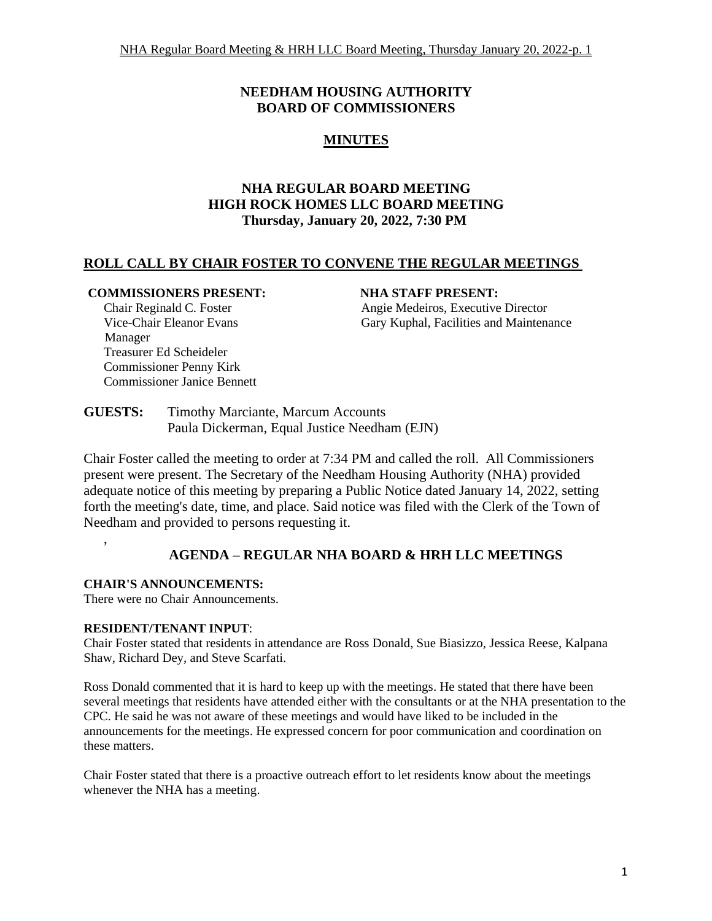# **NEEDHAM HOUSING AUTHORITY BOARD OF COMMISSIONERS**

# **MINUTES**

# **NHA REGULAR BOARD MEETING HIGH ROCK HOMES LLC BOARD MEETING Thursday, January 20, 2022, 7:30 PM**

# **ROLL CALL BY CHAIR FOSTER TO CONVENE THE REGULAR MEETINGS**

#### **COMMISSIONERS PRESENT: NHA STAFF PRESENT:**

Chair Reginald C. Foster **Angie Medeiros, Executive Director** Angie Medeiros, Executive Director Vice-Chair Eleanor Evans Gary Kuphal, Facilities and Maintenance

Manager Treasurer Ed Scheideler Commissioner Penny Kirk Commissioner Janice Bennett

**GUESTS:** Timothy Marciante, Marcum Accounts Paula Dickerman, Equal Justice Needham (EJN)

Chair Foster called the meeting to order at 7:34 PM and called the roll. All Commissioners present were present. The Secretary of the Needham Housing Authority (NHA) provided adequate notice of this meeting by preparing a Public Notice dated January 14, 2022, setting forth the meeting's date, time, and place. Said notice was filed with the Clerk of the Town of Needham and provided to persons requesting it.

# **AGENDA – REGULAR NHA BOARD & HRH LLC MEETINGS**

## **CHAIR'S ANNOUNCEMENTS:**

,

There were no Chair Announcements.

#### **RESIDENT/TENANT INPUT**:

Chair Foster stated that residents in attendance are Ross Donald, Sue Biasizzo, Jessica Reese, Kalpana Shaw, Richard Dey, and Steve Scarfati.

Ross Donald commented that it is hard to keep up with the meetings. He stated that there have been several meetings that residents have attended either with the consultants or at the NHA presentation to the CPC. He said he was not aware of these meetings and would have liked to be included in the announcements for the meetings. He expressed concern for poor communication and coordination on these matters.

Chair Foster stated that there is a proactive outreach effort to let residents know about the meetings whenever the NHA has a meeting.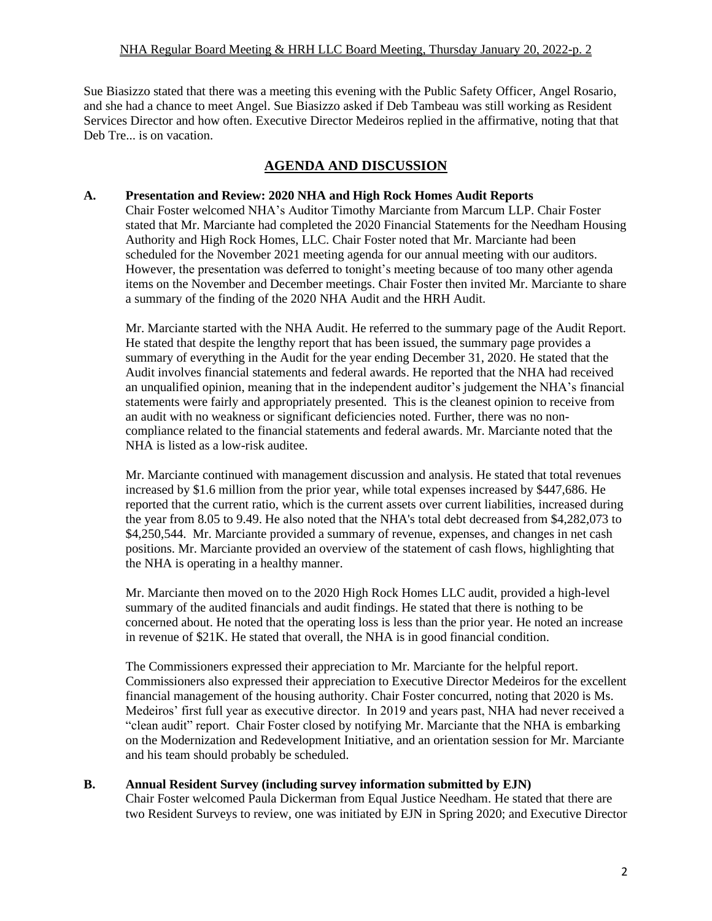#### NHA Regular Board Meeting & HRH LLC Board Meeting, Thursday January 20, 2022-p. 2

Sue Biasizzo stated that there was a meeting this evening with the Public Safety Officer, Angel Rosario, and she had a chance to meet Angel. Sue Biasizzo asked if Deb Tambeau was still working as Resident Services Director and how often. Executive Director Medeiros replied in the affirmative, noting that that Deb Tre... is on vacation.

# **AGENDA AND DISCUSSION**

#### **A. Presentation and Review: 2020 NHA and High Rock Homes Audit Reports**

Chair Foster welcomed NHA's Auditor Timothy Marciante from Marcum LLP. Chair Foster stated that Mr. Marciante had completed the 2020 Financial Statements for the Needham Housing Authority and High Rock Homes, LLC. Chair Foster noted that Mr. Marciante had been scheduled for the November 2021 meeting agenda for our annual meeting with our auditors. However, the presentation was deferred to tonight's meeting because of too many other agenda items on the November and December meetings. Chair Foster then invited Mr. Marciante to share a summary of the finding of the 2020 NHA Audit and the HRH Audit.

Mr. Marciante started with the NHA Audit. He referred to the summary page of the Audit Report. He stated that despite the lengthy report that has been issued, the summary page provides a summary of everything in the Audit for the year ending December 31, 2020. He stated that the Audit involves financial statements and federal awards. He reported that the NHA had received an unqualified opinion, meaning that in the independent auditor's judgement the NHA's financial statements were fairly and appropriately presented. This is the cleanest opinion to receive from an audit with no weakness or significant deficiencies noted. Further, there was no noncompliance related to the financial statements and federal awards. Mr. Marciante noted that the NHA is listed as a low-risk auditee.

Mr. Marciante continued with management discussion and analysis. He stated that total revenues increased by \$1.6 million from the prior year, while total expenses increased by \$447,686. He reported that the current ratio, which is the current assets over current liabilities, increased during the year from 8.05 to 9.49. He also noted that the NHA's total debt decreased from \$4,282,073 to \$4,250,544. Mr. Marciante provided a summary of revenue, expenses, and changes in net cash positions. Mr. Marciante provided an overview of the statement of cash flows, highlighting that the NHA is operating in a healthy manner.

Mr. Marciante then moved on to the 2020 High Rock Homes LLC audit, provided a high-level summary of the audited financials and audit findings. He stated that there is nothing to be concerned about. He noted that the operating loss is less than the prior year. He noted an increase in revenue of \$21K. He stated that overall, the NHA is in good financial condition.

The Commissioners expressed their appreciation to Mr. Marciante for the helpful report. Commissioners also expressed their appreciation to Executive Director Medeiros for the excellent financial management of the housing authority. Chair Foster concurred, noting that 2020 is Ms. Medeiros' first full year as executive director. In 2019 and years past, NHA had never received a "clean audit" report. Chair Foster closed by notifying Mr. Marciante that the NHA is embarking on the Modernization and Redevelopment Initiative, and an orientation session for Mr. Marciante and his team should probably be scheduled.

#### **B. Annual Resident Survey (including survey information submitted by EJN)**

Chair Foster welcomed Paula Dickerman from Equal Justice Needham. He stated that there are two Resident Surveys to review, one was initiated by EJN in Spring 2020; and Executive Director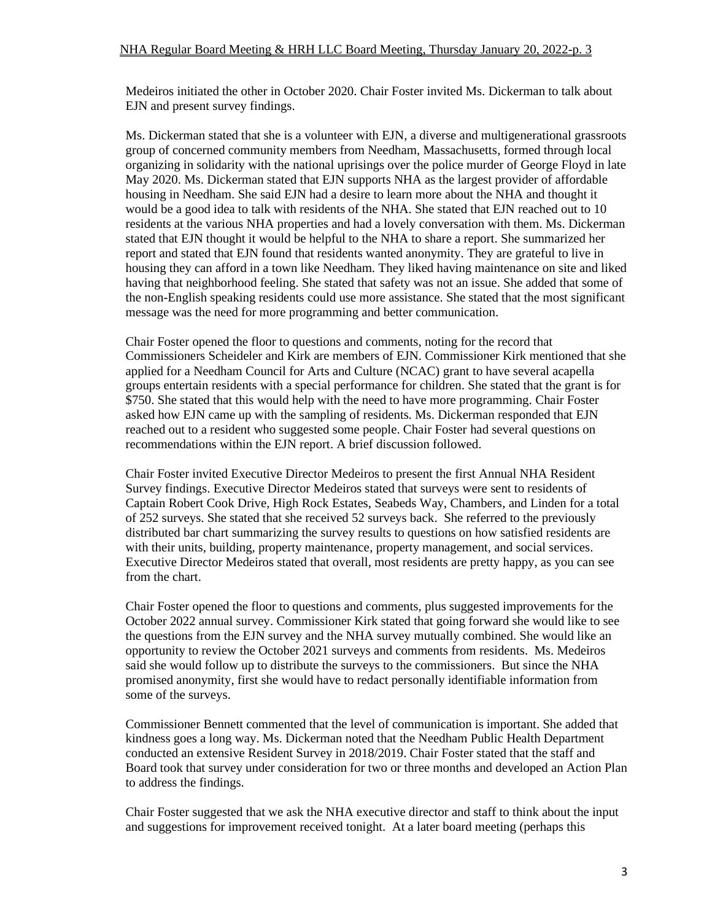Medeiros initiated the other in October 2020. Chair Foster invited Ms. Dickerman to talk about EJN and present survey findings.

Ms. Dickerman stated that she is a volunteer with EJN, a diverse and multigenerational grassroots group of concerned community members from Needham, Massachusetts, formed through local organizing in solidarity with the national uprisings over the police murder of George Floyd in late May 2020. Ms. Dickerman stated that EJN supports NHA as the largest provider of affordable housing in Needham. She said EJN had a desire to learn more about the NHA and thought it would be a good idea to talk with residents of the NHA. She stated that EJN reached out to 10 residents at the various NHA properties and had a lovely conversation with them. Ms. Dickerman stated that EJN thought it would be helpful to the NHA to share a report. She summarized her report and stated that EJN found that residents wanted anonymity. They are grateful to live in housing they can afford in a town like Needham. They liked having maintenance on site and liked having that neighborhood feeling. She stated that safety was not an issue. She added that some of the non-English speaking residents could use more assistance. She stated that the most significant message was the need for more programming and better communication.

Chair Foster opened the floor to questions and comments, noting for the record that Commissioners Scheideler and Kirk are members of EJN. Commissioner Kirk mentioned that she applied for a Needham Council for Arts and Culture (NCAC) grant to have several acapella groups entertain residents with a special performance for children. She stated that the grant is for \$750. She stated that this would help with the need to have more programming. Chair Foster asked how EJN came up with the sampling of residents. Ms. Dickerman responded that EJN reached out to a resident who suggested some people. Chair Foster had several questions on recommendations within the EJN report. A brief discussion followed.

Chair Foster invited Executive Director Medeiros to present the first Annual NHA Resident Survey findings. Executive Director Medeiros stated that surveys were sent to residents of Captain Robert Cook Drive, High Rock Estates, Seabeds Way, Chambers, and Linden for a total of 252 surveys. She stated that she received 52 surveys back. She referred to the previously distributed bar chart summarizing the survey results to questions on how satisfied residents are with their units, building, property maintenance, property management, and social services. Executive Director Medeiros stated that overall, most residents are pretty happy, as you can see from the chart.

Chair Foster opened the floor to questions and comments, plus suggested improvements for the October 2022 annual survey. Commissioner Kirk stated that going forward she would like to see the questions from the EJN survey and the NHA survey mutually combined. She would like an opportunity to review the October 2021 surveys and comments from residents. Ms. Medeiros said she would follow up to distribute the surveys to the commissioners. But since the NHA promised anonymity, first she would have to redact personally identifiable information from some of the surveys.

Commissioner Bennett commented that the level of communication is important. She added that kindness goes a long way. Ms. Dickerman noted that the Needham Public Health Department conducted an extensive Resident Survey in 2018/2019. Chair Foster stated that the staff and Board took that survey under consideration for two or three months and developed an Action Plan to address the findings.

Chair Foster suggested that we ask the NHA executive director and staff to think about the input and suggestions for improvement received tonight. At a later board meeting (perhaps this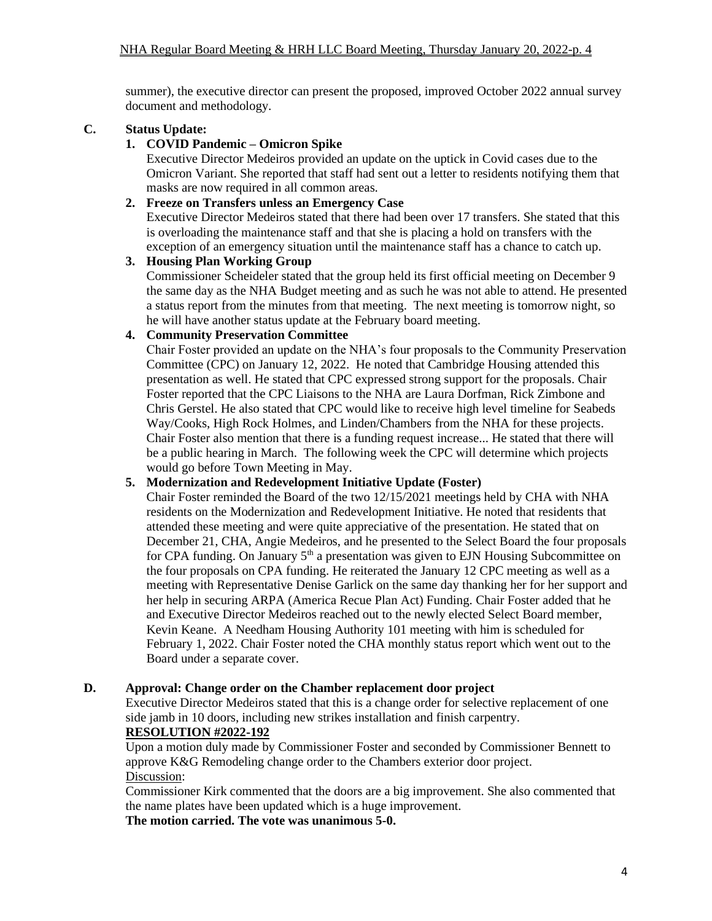summer), the executive director can present the proposed, improved October 2022 annual survey document and methodology.

## **C. Status Update:**

## **1. COVID Pandemic – Omicron Spike**

Executive Director Medeiros provided an update on the uptick in Covid cases due to the Omicron Variant. She reported that staff had sent out a letter to residents notifying them that masks are now required in all common areas.

## **2. Freeze on Transfers unless an Emergency Case**

Executive Director Medeiros stated that there had been over 17 transfers. She stated that this is overloading the maintenance staff and that she is placing a hold on transfers with the exception of an emergency situation until the maintenance staff has a chance to catch up.

## **3. Housing Plan Working Group**

Commissioner Scheideler stated that the group held its first official meeting on December 9 the same day as the NHA Budget meeting and as such he was not able to attend. He presented a status report from the minutes from that meeting. The next meeting is tomorrow night, so he will have another status update at the February board meeting.

## **4. Community Preservation Committee**

Chair Foster provided an update on the NHA's four proposals to the Community Preservation Committee (CPC) on January 12, 2022. He noted that Cambridge Housing attended this presentation as well. He stated that CPC expressed strong support for the proposals. Chair Foster reported that the CPC Liaisons to the NHA are Laura Dorfman, Rick Zimbone and Chris Gerstel. He also stated that CPC would like to receive high level timeline for Seabeds Way/Cooks, High Rock Holmes, and Linden/Chambers from the NHA for these projects. Chair Foster also mention that there is a funding request increase... He stated that there will be a public hearing in March. The following week the CPC will determine which projects would go before Town Meeting in May.

## **5. Modernization and Redevelopment Initiative Update (Foster)**

Chair Foster reminded the Board of the two 12/15/2021 meetings held by CHA with NHA residents on the Modernization and Redevelopment Initiative. He noted that residents that attended these meeting and were quite appreciative of the presentation. He stated that on December 21, CHA, Angie Medeiros, and he presented to the Select Board the four proposals for CPA funding. On January  $5<sup>th</sup>$  a presentation was given to EJN Housing Subcommittee on the four proposals on CPA funding. He reiterated the January 12 CPC meeting as well as a meeting with Representative Denise Garlick on the same day thanking her for her support and her help in securing ARPA (America Recue Plan Act) Funding. Chair Foster added that he and Executive Director Medeiros reached out to the newly elected Select Board member, Kevin Keane. A Needham Housing Authority 101 meeting with him is scheduled for February 1, 2022. Chair Foster noted the CHA monthly status report which went out to the Board under a separate cover.

## **D. Approval: Change order on the Chamber replacement door project**

Executive Director Medeiros stated that this is a change order for selective replacement of one side jamb in 10 doors, including new strikes installation and finish carpentry.

## **RESOLUTION #2022-192**

Upon a motion duly made by Commissioner Foster and seconded by Commissioner Bennett to approve K&G Remodeling change order to the Chambers exterior door project. Discussion:

Commissioner Kirk commented that the doors are a big improvement. She also commented that the name plates have been updated which is a huge improvement.

## **The motion carried. The vote was unanimous 5-0.**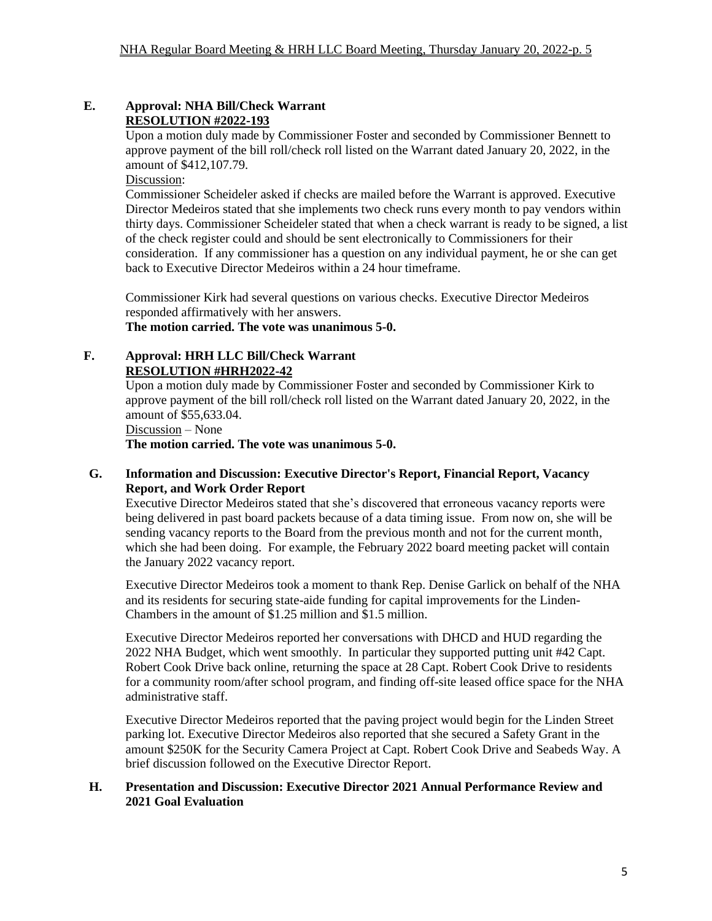#### **E. Approval: NHA Bill/Check Warrant RESOLUTION #2022-193**

Upon a motion duly made by Commissioner Foster and seconded by Commissioner Bennett to approve payment of the bill roll/check roll listed on the Warrant dated January 20, 2022, in the amount of \$412,107.79.

Discussion:

Commissioner Scheideler asked if checks are mailed before the Warrant is approved. Executive Director Medeiros stated that she implements two check runs every month to pay vendors within thirty days. Commissioner Scheideler stated that when a check warrant is ready to be signed, a list of the check register could and should be sent electronically to Commissioners for their consideration. If any commissioner has a question on any individual payment, he or she can get back to Executive Director Medeiros within a 24 hour timeframe.

Commissioner Kirk had several questions on various checks. Executive Director Medeiros responded affirmatively with her answers.

# **The motion carried. The vote was unanimous 5-0.**

#### **F. Approval: HRH LLC Bill/Check Warrant RESOLUTION #HRH2022-42**

Upon a motion duly made by Commissioner Foster and seconded by Commissioner Kirk to approve payment of the bill roll/check roll listed on the Warrant dated January 20, 2022, in the amount of \$55,633.04.

## Discussion – None

**The motion carried. The vote was unanimous 5-0.**

#### **G. Information and Discussion: Executive Director's Report, Financial Report, Vacancy Report, and Work Order Report**

Executive Director Medeiros stated that she's discovered that erroneous vacancy reports were being delivered in past board packets because of a data timing issue. From now on, she will be sending vacancy reports to the Board from the previous month and not for the current month, which she had been doing. For example, the February 2022 board meeting packet will contain the January 2022 vacancy report.

Executive Director Medeiros took a moment to thank Rep. Denise Garlick on behalf of the NHA and its residents for securing state-aide funding for capital improvements for the Linden-Chambers in the amount of \$1.25 million and \$1.5 million.

Executive Director Medeiros reported her conversations with DHCD and HUD regarding the 2022 NHA Budget, which went smoothly. In particular they supported putting unit #42 Capt. Robert Cook Drive back online, returning the space at 28 Capt. Robert Cook Drive to residents for a community room/after school program, and finding off-site leased office space for the NHA administrative staff.

Executive Director Medeiros reported that the paving project would begin for the Linden Street parking lot. Executive Director Medeiros also reported that she secured a Safety Grant in the amount \$250K for the Security Camera Project at Capt. Robert Cook Drive and Seabeds Way. A brief discussion followed on the Executive Director Report.

#### **H. Presentation and Discussion: Executive Director 2021 Annual Performance Review and 2021 Goal Evaluation**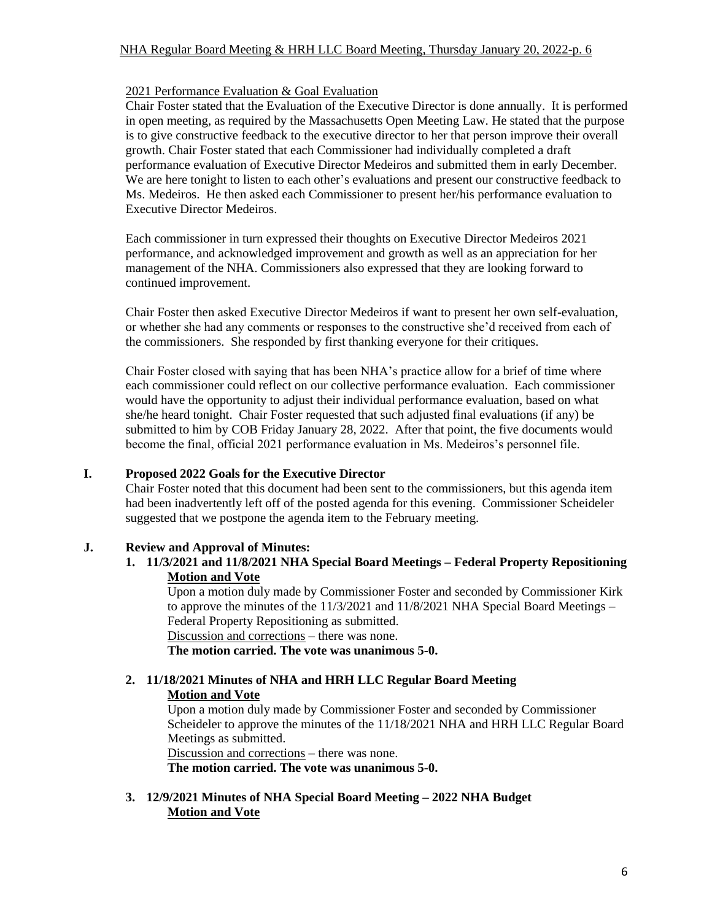#### NHA Regular Board Meeting & HRH LLC Board Meeting, Thursday January 20, 2022-p. 6

#### 2021 Performance Evaluation & Goal Evaluation

Chair Foster stated that the Evaluation of the Executive Director is done annually. It is performed in open meeting, as required by the Massachusetts Open Meeting Law. He stated that the purpose is to give constructive feedback to the executive director to her that person improve their overall growth. Chair Foster stated that each Commissioner had individually completed a draft performance evaluation of Executive Director Medeiros and submitted them in early December. We are here tonight to listen to each other's evaluations and present our constructive feedback to Ms. Medeiros. He then asked each Commissioner to present her/his performance evaluation to Executive Director Medeiros.

Each commissioner in turn expressed their thoughts on Executive Director Medeiros 2021 performance, and acknowledged improvement and growth as well as an appreciation for her management of the NHA. Commissioners also expressed that they are looking forward to continued improvement.

Chair Foster then asked Executive Director Medeiros if want to present her own self-evaluation, or whether she had any comments or responses to the constructive she'd received from each of the commissioners. She responded by first thanking everyone for their critiques.

Chair Foster closed with saying that has been NHA's practice allow for a brief of time where each commissioner could reflect on our collective performance evaluation. Each commissioner would have the opportunity to adjust their individual performance evaluation, based on what she/he heard tonight. Chair Foster requested that such adjusted final evaluations (if any) be submitted to him by COB Friday January 28, 2022. After that point, the five documents would become the final, official 2021 performance evaluation in Ms. Medeiros's personnel file.

## **I. Proposed 2022 Goals for the Executive Director**

Chair Foster noted that this document had been sent to the commissioners, but this agenda item had been inadvertently left off of the posted agenda for this evening. Commissioner Scheideler suggested that we postpone the agenda item to the February meeting.

## **J. Review and Approval of Minutes:**

**1. 11/3/2021 and 11/8/2021 NHA Special Board Meetings – Federal Property Repositioning Motion and Vote**

Upon a motion duly made by Commissioner Foster and seconded by Commissioner Kirk to approve the minutes of the 11/3/2021 and 11/8/2021 NHA Special Board Meetings – Federal Property Repositioning as submitted. Discussion and corrections – there was none.

**The motion carried. The vote was unanimous 5-0.**

# **2. 11/18/2021 Minutes of NHA and HRH LLC Regular Board Meeting Motion and Vote**

Upon a motion duly made by Commissioner Foster and seconded by Commissioner Scheideler to approve the minutes of the 11/18/2021 NHA and HRH LLC Regular Board Meetings as submitted.

Discussion and corrections – there was none. **The motion carried. The vote was unanimous 5-0.**

**3. 12/9/2021 Minutes of NHA Special Board Meeting – 2022 NHA Budget Motion and Vote**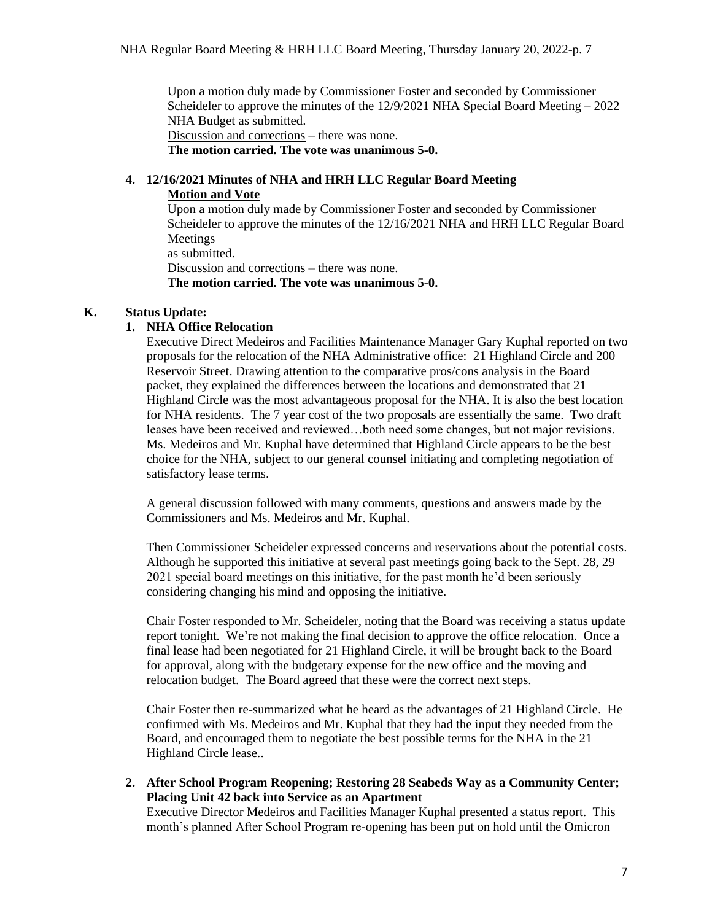Upon a motion duly made by Commissioner Foster and seconded by Commissioner Scheideler to approve the minutes of the 12/9/2021 NHA Special Board Meeting – 2022 NHA Budget as submitted.

Discussion and corrections – there was none.

**The motion carried. The vote was unanimous 5-0.**

# **4. 12/16/2021 Minutes of NHA and HRH LLC Regular Board Meeting**

#### **Motion and Vote**

Upon a motion duly made by Commissioner Foster and seconded by Commissioner Scheideler to approve the minutes of the 12/16/2021 NHA and HRH LLC Regular Board Meetings

as submitted.

Discussion and corrections – there was none. **The motion carried. The vote was unanimous 5-0.**

## **K. Status Update:**

# **1. NHA Office Relocation**

Executive Direct Medeiros and Facilities Maintenance Manager Gary Kuphal reported on two proposals for the relocation of the NHA Administrative office: 21 Highland Circle and 200 Reservoir Street. Drawing attention to the comparative pros/cons analysis in the Board packet, they explained the differences between the locations and demonstrated that 21 Highland Circle was the most advantageous proposal for the NHA. It is also the best location for NHA residents. The 7 year cost of the two proposals are essentially the same. Two draft leases have been received and reviewed…both need some changes, but not major revisions. Ms. Medeiros and Mr. Kuphal have determined that Highland Circle appears to be the best choice for the NHA, subject to our general counsel initiating and completing negotiation of satisfactory lease terms.

A general discussion followed with many comments, questions and answers made by the Commissioners and Ms. Medeiros and Mr. Kuphal.

Then Commissioner Scheideler expressed concerns and reservations about the potential costs. Although he supported this initiative at several past meetings going back to the Sept. 28, 29 2021 special board meetings on this initiative, for the past month he'd been seriously considering changing his mind and opposing the initiative.

Chair Foster responded to Mr. Scheideler, noting that the Board was receiving a status update report tonight. We're not making the final decision to approve the office relocation. Once a final lease had been negotiated for 21 Highland Circle, it will be brought back to the Board for approval, along with the budgetary expense for the new office and the moving and relocation budget. The Board agreed that these were the correct next steps.

Chair Foster then re-summarized what he heard as the advantages of 21 Highland Circle. He confirmed with Ms. Medeiros and Mr. Kuphal that they had the input they needed from the Board, and encouraged them to negotiate the best possible terms for the NHA in the 21 Highland Circle lease..

**2. After School Program Reopening; Restoring 28 Seabeds Way as a Community Center; Placing Unit 42 back into Service as an Apartment**

Executive Director Medeiros and Facilities Manager Kuphal presented a status report. This month's planned After School Program re-opening has been put on hold until the Omicron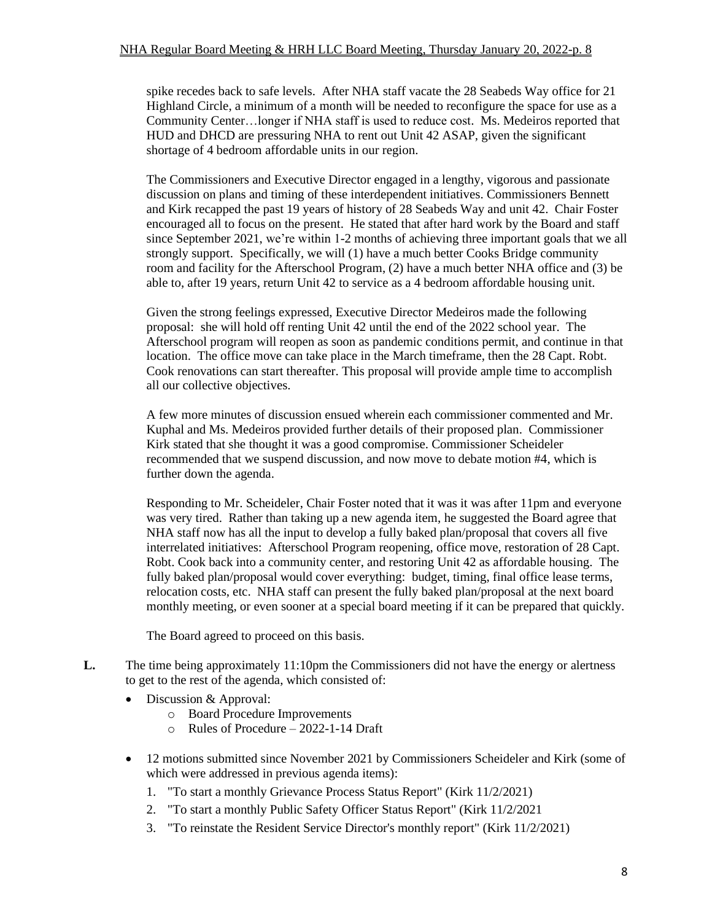spike recedes back to safe levels. After NHA staff vacate the 28 Seabeds Way office for 21 Highland Circle, a minimum of a month will be needed to reconfigure the space for use as a Community Center…longer if NHA staff is used to reduce cost. Ms. Medeiros reported that HUD and DHCD are pressuring NHA to rent out Unit 42 ASAP, given the significant shortage of 4 bedroom affordable units in our region.

The Commissioners and Executive Director engaged in a lengthy, vigorous and passionate discussion on plans and timing of these interdependent initiatives. Commissioners Bennett and Kirk recapped the past 19 years of history of 28 Seabeds Way and unit 42. Chair Foster encouraged all to focus on the present. He stated that after hard work by the Board and staff since September 2021, we're within 1-2 months of achieving three important goals that we all strongly support. Specifically, we will (1) have a much better Cooks Bridge community room and facility for the Afterschool Program, (2) have a much better NHA office and (3) be able to, after 19 years, return Unit 42 to service as a 4 bedroom affordable housing unit.

Given the strong feelings expressed, Executive Director Medeiros made the following proposal: she will hold off renting Unit 42 until the end of the 2022 school year. The Afterschool program will reopen as soon as pandemic conditions permit, and continue in that location. The office move can take place in the March timeframe, then the 28 Capt. Robt. Cook renovations can start thereafter. This proposal will provide ample time to accomplish all our collective objectives.

A few more minutes of discussion ensued wherein each commissioner commented and Mr. Kuphal and Ms. Medeiros provided further details of their proposed plan. Commissioner Kirk stated that she thought it was a good compromise. Commissioner Scheideler recommended that we suspend discussion, and now move to debate motion #4, which is further down the agenda.

Responding to Mr. Scheideler, Chair Foster noted that it was it was after 11pm and everyone was very tired. Rather than taking up a new agenda item, he suggested the Board agree that NHA staff now has all the input to develop a fully baked plan/proposal that covers all five interrelated initiatives: Afterschool Program reopening, office move, restoration of 28 Capt. Robt. Cook back into a community center, and restoring Unit 42 as affordable housing. The fully baked plan/proposal would cover everything: budget, timing, final office lease terms, relocation costs, etc. NHA staff can present the fully baked plan/proposal at the next board monthly meeting, or even sooner at a special board meeting if it can be prepared that quickly.

The Board agreed to proceed on this basis.

- **L.** The time being approximately 11:10pm the Commissioners did not have the energy or alertness to get to the rest of the agenda, which consisted of:
	- Discussion & Approval:
		- o Board Procedure Improvements
		- o Rules of Procedure 2022-1-14 Draft
	- 12 motions submitted since November 2021 by Commissioners Scheideler and Kirk (some of which were addressed in previous agenda items):
		- 1. "To start a monthly Grievance Process Status Report" (Kirk 11/2/2021)
		- 2. "To start a monthly Public Safety Officer Status Report" (Kirk 11/2/2021
		- 3. "To reinstate the Resident Service Director's monthly report" (Kirk 11/2/2021)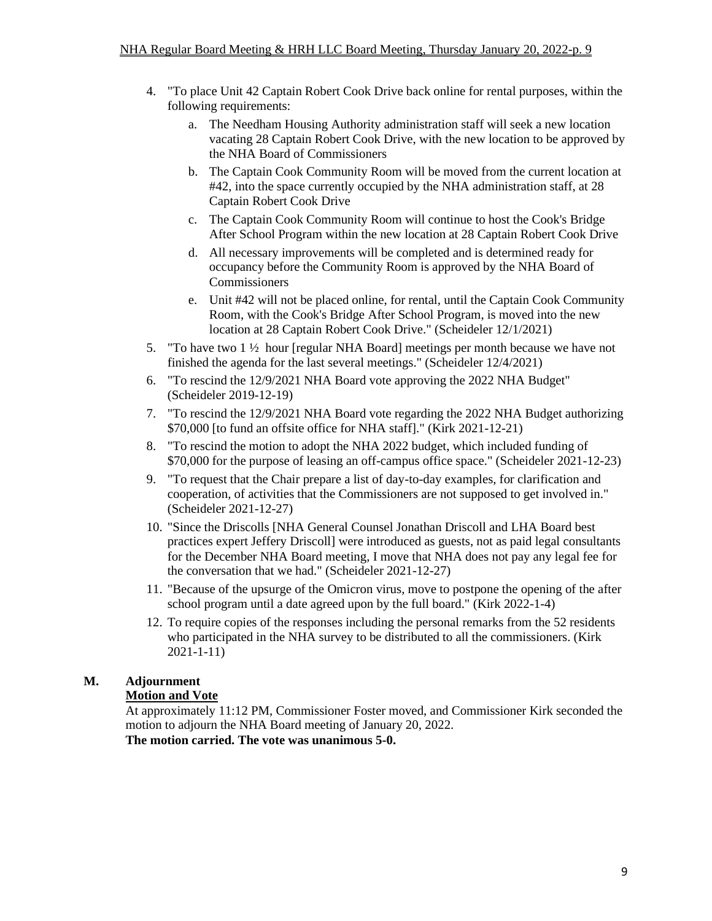- 4. "To place Unit 42 Captain Robert Cook Drive back online for rental purposes, within the following requirements:
	- a. The Needham Housing Authority administration staff will seek a new location vacating 28 Captain Robert Cook Drive, with the new location to be approved by the NHA Board of Commissioners
	- b. The Captain Cook Community Room will be moved from the current location at #42, into the space currently occupied by the NHA administration staff, at 28 Captain Robert Cook Drive
	- c. The Captain Cook Community Room will continue to host the Cook's Bridge After School Program within the new location at 28 Captain Robert Cook Drive
	- d. All necessary improvements will be completed and is determined ready for occupancy before the Community Room is approved by the NHA Board of Commissioners
	- e. Unit #42 will not be placed online, for rental, until the Captain Cook Community Room, with the Cook's Bridge After School Program, is moved into the new location at 28 Captain Robert Cook Drive." (Scheideler 12/1/2021)
- 5. "To have two  $1\frac{1}{2}$  hour [regular NHA Board] meetings per month because we have not finished the agenda for the last several meetings." (Scheideler 12/4/2021)
- 6. "To rescind the 12/9/2021 NHA Board vote approving the 2022 NHA Budget" (Scheideler 2019-12-19)
- 7. "To rescind the 12/9/2021 NHA Board vote regarding the 2022 NHA Budget authorizing \$70,000 [to fund an offsite office for NHA staff]." (Kirk 2021-12-21)
- 8. "To rescind the motion to adopt the NHA 2022 budget, which included funding of \$70,000 for the purpose of leasing an off-campus office space." (Scheideler 2021-12-23)
- 9. "To request that the Chair prepare a list of day-to-day examples, for clarification and cooperation, of activities that the Commissioners are not supposed to get involved in." (Scheideler 2021-12-27)
- 10. "Since the Driscolls [NHA General Counsel Jonathan Driscoll and LHA Board best practices expert Jeffery Driscoll] were introduced as guests, not as paid legal consultants for the December NHA Board meeting, I move that NHA does not pay any legal fee for the conversation that we had." (Scheideler 2021-12-27)
- 11. "Because of the upsurge of the Omicron virus, move to postpone the opening of the after school program until a date agreed upon by the full board." (Kirk 2022-1-4)
- 12. To require copies of the responses including the personal remarks from the 52 residents who participated in the NHA survey to be distributed to all the commissioners. (Kirk 2021-1-11)

# **M. Adjournment**

## **Motion and Vote**

At approximately 11:12 PM, Commissioner Foster moved, and Commissioner Kirk seconded the motion to adjourn the NHA Board meeting of January 20, 2022. **The motion carried. The vote was unanimous 5-0.**